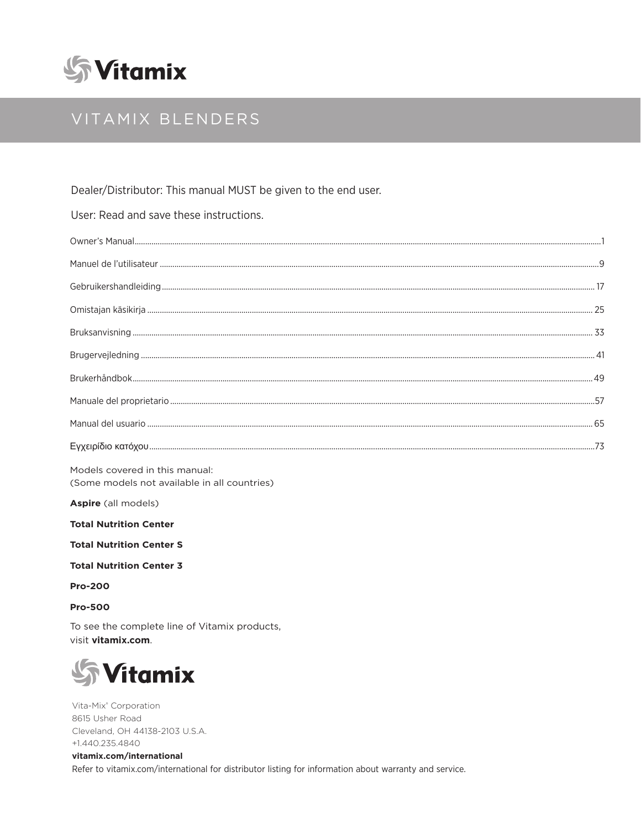

## VITAMIX BLENDERS

Dealer/Distributor: This manual MUST be given to the end user.

User: Read and save these instructions.

Models covered in this manual: (Some models not available in all countries)

Aspire (all models)

**Total Nutrition Center** 

**Total Nutrition Center S** 

**Total Nutrition Center 3** 

**Pro-200** 

**Pro-500** 

To see the complete line of Vitamix products, visit vitamix.com.



Vita-Mix<sup>®</sup> Corporation 8615 Usher Road Cleveland, OH 44138-2103 U.S.A. +1.440.235.4840

vitamix.com/international Refer to vitamix.com/international for distributor listing for information about warranty and service.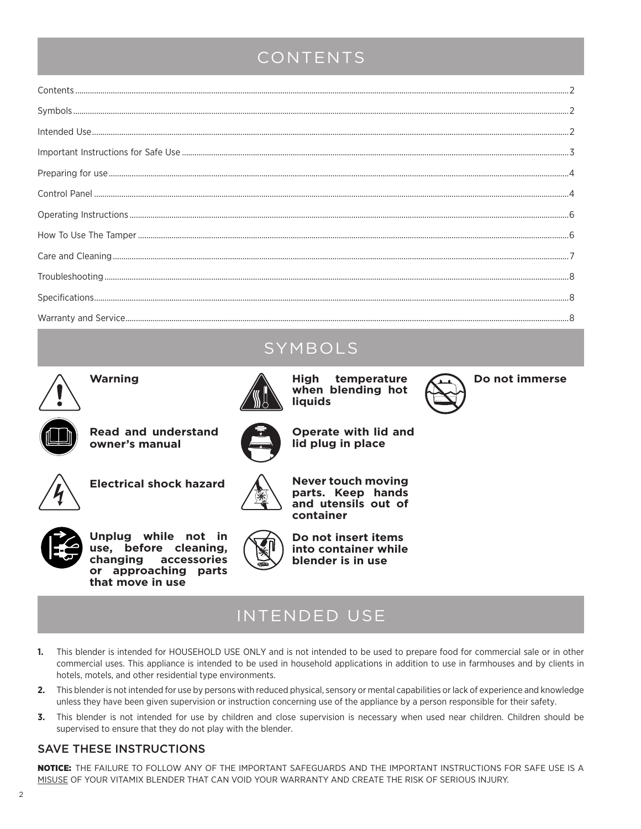### CONTENTS

### SYMBOLS



**Warning**



**High temperature when blending hot liquids**

**Operate with lid and lid plug in place**



**Do not immerse**



**Read and understand owner's manual**





**Never touch moving** 



**Unplug while not in use, before cleaning, changing accessories or approaching parts that move in use**



**parts. Keep hands and utensils out of container**



### INTENDED USE

- **1.** This blender is intended for HOUSEHOLD USE ONLY and is not intended to be used to prepare food for commercial sale or in other commercial uses. This appliance is intended to be used in household applications in addition to use in farmhouses and by clients in hotels, motels, and other residential type environments.
- **2.** This blender is not intended for use by persons with reduced physical, sensory or mental capabilities or lack of experience and knowledge unless they have been given supervision or instruction concerning use of the appliance by a person responsible for their safety.
- **3.** This blender is not intended for use by children and close supervision is necessary when used near children. Children should be supervised to ensure that they do not play with the blender.

### SAVE THESE INSTRUCTIONS

NOTICE: THE FAILURE TO FOLLOW ANY OF THE IMPORTANT SAFEGUARDS AND THE IMPORTANT INSTRUCTIONS FOR SAFE USE IS A MISUSE OF YOUR VITAMIX BLENDER THAT CAN VOID YOUR WARRANTY AND CREATE THE RISK OF SERIOUS INJURY.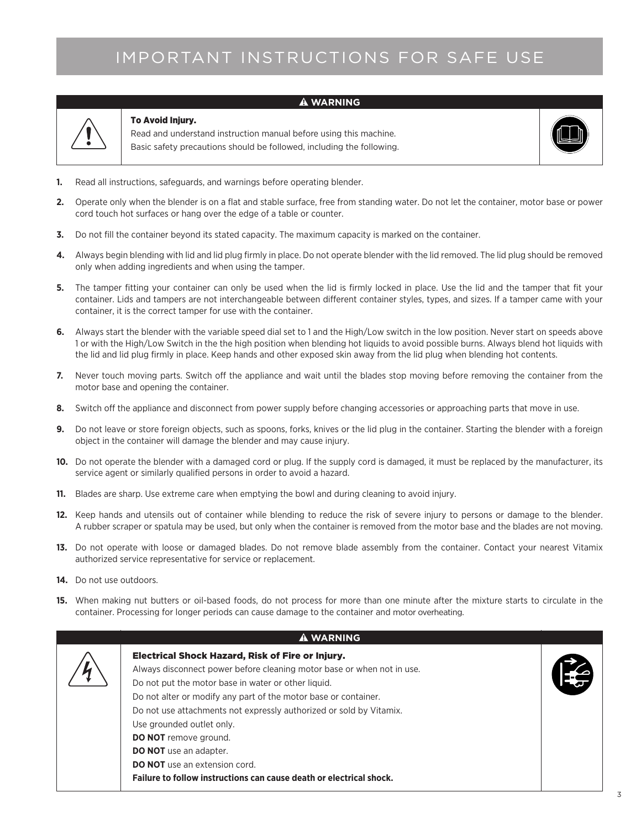## IMPORTANT INSTRUCTIONS FOR SAFE USE

**WARNING**



#### To Avoid Injury.

Read and understand instruction manual before using this machine. Basic safety precautions should be followed, including the following.



- **1.** Read all instructions, safeguards, and warnings before operating blender.
- **2.** Operate only when the blender is on a flat and stable surface, free from standing water. Do not let the container, motor base or power cord touch hot surfaces or hang over the edge of a table or counter.
- **3.** Do not fill the container beyond its stated capacity. The maximum capacity is marked on the container.
- **4.** Always begin blending with lid and lid plug firmly in place. Do not operate blender with the lid removed. The lid plug should be removed only when adding ingredients and when using the tamper.
- **5.** The tamper fitting your container can only be used when the lid is firmly locked in place. Use the lid and the tamper that fit your container. Lids and tampers are not interchangeable between different container styles, types, and sizes. If a tamper came with your container, it is the correct tamper for use with the container.
- **6.** Always start the blender with the variable speed dial set to 1 and the High/Low switch in the low position. Never start on speeds above 1 or with the High/Low Switch in the the high position when blending hot liquids to avoid possible burns. Always blend hot liquids with the lid and lid plug firmly in place. Keep hands and other exposed skin away from the lid plug when blending hot contents.
- **7.** Never touch moving parts. Switch off the appliance and wait until the blades stop moving before removing the container from the motor base and opening the container.
- **8.** Switch off the appliance and disconnect from power supply before changing accessories or approaching parts that move in use.
- **9.** Do not leave or store foreign objects, such as spoons, forks, knives or the lid plug in the container. Starting the blender with a foreign object in the container will damage the blender and may cause injury.
- **10.** Do not operate the blender with a damaged cord or plug. If the supply cord is damaged, it must be replaced by the manufacturer, its service agent or similarly qualified persons in order to avoid a hazard.
- **11.** Blades are sharp. Use extreme care when emptying the bowl and during cleaning to avoid injury.
- **12.** Keep hands and utensils out of container while blending to reduce the risk of severe injury to persons or damage to the blender. A rubber scraper or spatula may be used, but only when the container is removed from the motor base and the blades are not moving.
- **13.** Do not operate with loose or damaged blades. Do not remove blade assembly from the container. Contact your nearest Vitamix authorized service representative for service or replacement.
- **14.** Do not use outdoors.
- **15.** When making nut butters or oil-based foods, do not process for more than one minute after the mixture starts to circulate in the container. Processing for longer periods can cause damage to the container and motor overheating.

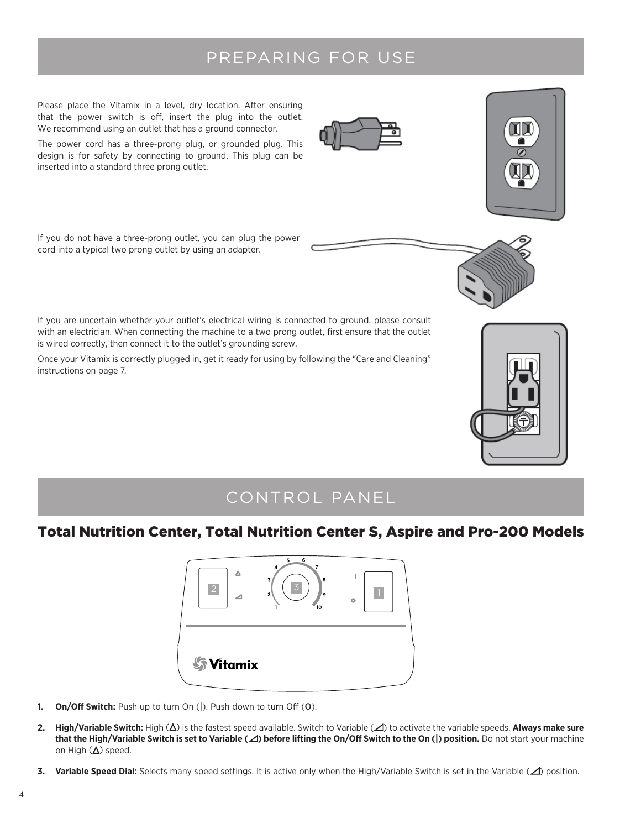### PREPARING FOR USE

Please place the Vitamix in a level, dry location. After ensuring that the power switch is off, insert the plug into the outlet. We recommend using an outlet that has a ground connector.

The power cord has a three-prong plug, or grounded plug. This design is for safety by connecting to ground. This plug can be inserted into a standard three prong outlet.

If you do not have a three-prong outlet, you can plug the power cord into a typical two prong outlet by using an adapter.

If you are uncertain whether your outlet's electrical wiring is connected to ground, please consult with an electrician. When connecting the machine to a two prong outlet, first ensure that the outlet is wired correctly, then connect it to the outlet's grounding screw.

Once your Vitamix is correctly plugged in, get it ready for using by following the "Care and Cleaning" instructions on page 7.

### CONTROL PANEL

### Total Nutrition Center, Total Nutrition Center S, Aspire and Pro-200 Models



- **1. On/Off Switch:** Push up to turn On (|). Push down to turn Off (O).
- **2. High/Variable Switch:** High (Δ) is the fastest speed available. Switch to Variable (⊿) to activate the variable speeds. **Always make sure that the High/Variable Switch is set to Variable ( ) before lifting the On/Off Switch to the On (|) position.** Do not start your machine on High  $(\Delta)$  speed.
- **3. Variable Speed Dial:** Selects many speed settings. It is active only when the High/Variable Switch is set in the Variable ( $\triangle$ ) position.





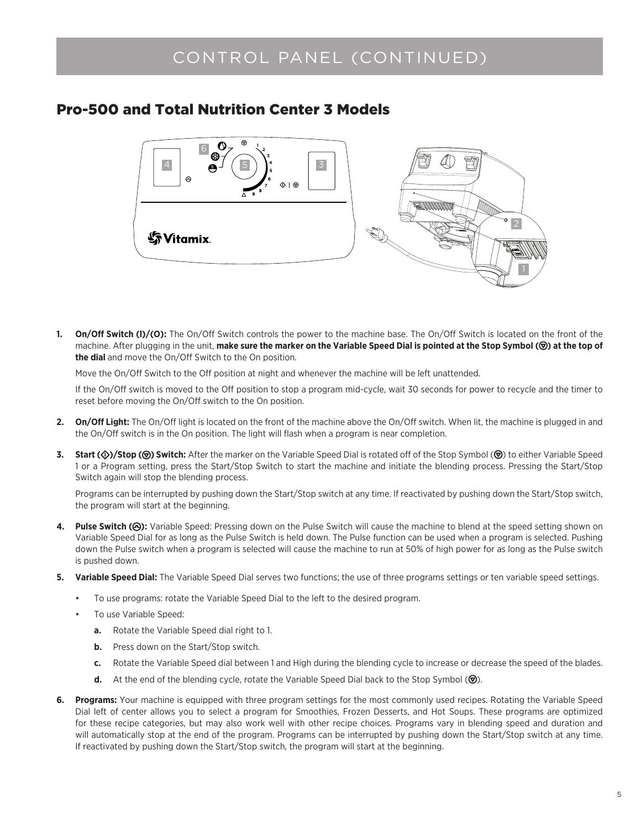### CONTROL PANEL (CONTINUED)

### Pro-500 and Total Nutrition Center 3 Models



**On/Off Switch (I)/(O):** The On/Off Switch controls the power to the machine base. The On/Off Switch is located on the front of the machine. After plugging in the unit, **make sure the marker on the Variable Speed Dial is pointed at the Stop Symbol ( ) at the top of the dial** and move the On/Off Switch to the On position.

Move the On/Off Switch to the Off position at night and whenever the machine will be left unattended.

If the On/Off switch is moved to the Off position to stop a program mid-cycle, wait 30 seconds for power to recycle and the timer to reset before moving the On/Off switch to the On position.

- **2. On/Off Light:** The On/Off light is located on the front of the machine above the On/Off switch. When lit, the machine is plugged in and the On/Off switch is in the On position. The light will flash when a program is near completion.
- 3. **Start (** $\circled{v}$ **)/Stop (** $\circled{v}$ **) Switch:** After the marker on the Variable Speed Dial is rotated off of the Stop Symbol ( $\circled{v}$ ) to either Variable Speed 1 or a Program setting, press the Start/Stop Switch to start the machine and initiate the blending process. Pressing the Start/Stop Switch again will stop the blending process.

Programs can be interrupted by pushing down the Start/Stop switch at any time. If reactivated by pushing down the Start/Stop switch, the program will start at the beginning.

- 4. Pulse Switch ( $\Theta$ ): Variable Speed: Pressing down on the Pulse Switch will cause the machine to blend at the speed setting shown on Variable Speed Dial for as long as the Pulse Switch is held down. The Pulse function can be used when a program is selected. Pushing down the Pulse switch when a program is selected will cause the machine to run at 50% of high power for as long as the Pulse switch is pushed down.
- **5. Variable Speed Dial:** The Variable Speed Dial serves two functions; the use of three programs settings or ten variable speed settings.
	- To use programs: rotate the Variable Speed Dial to the left to the desired program.
	- To use Variable Speed:
		- **a.** Rotate the Variable Speed dial right to 1.
		- **b.** Press down on the Start/Stop switch.
		- **c.** Rotate the Variable Speed dial between 1 and High during the blending cycle to increase or decrease the speed of the blades.
		- **d.** At the end of the blending cycle, rotate the Variable Speed Dial back to the Stop Symbol ( $\circledcirc$ ).
- **6. Programs:** Your machine is equipped with three program settings for the most commonly used recipes. Rotating the Variable Speed Dial left of center allows you to select a program for Smoothies, Frozen Desserts, and Hot Soups. These programs are optimized for these recipe categories, but may also work well with other recipe choices. Programs vary in blending speed and duration and will automatically stop at the end of the program. Programs can be interrupted by pushing down the Start/Stop switch at any time. If reactivated by pushing down the Start/Stop switch, the program will start at the beginning.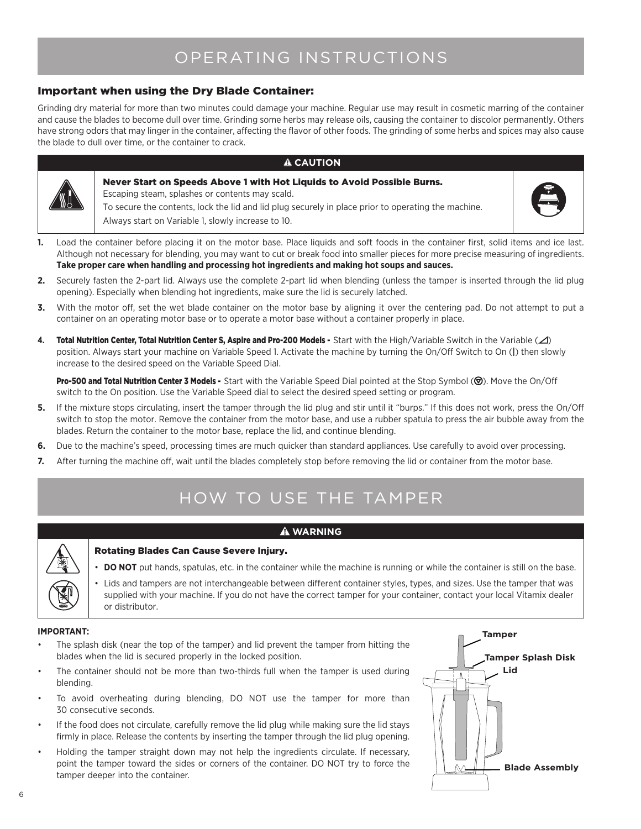## OPERATING INSTRUCTIONS

### Important when using the Dry Blade Container:

Grinding dry material for more than two minutes could damage your machine. Regular use may result in cosmetic marring of the container and cause the blades to become dull over time. Grinding some herbs may release oils, causing the container to discolor permanently. Others have strong odors that may linger in the container, affecting the flavor of other foods. The grinding of some herbs and spices may also cause the blade to dull over time, or the container to crack.

#### **A** CAUTION



#### Never Start on Speeds Above 1 with Hot Liquids to Avoid Possible Burns. Escaping steam, splashes or contents may scald. To secure the contents, lock the lid and lid plug securely in place prior to operating the machine. Always start on Variable 1, slowly increase to 10.



- **1.** Load the container before placing it on the motor base. Place liquids and soft foods in the container first, solid items and ice last. Although not necessary for blending, you may want to cut or break food into smaller pieces for more precise measuring of ingredients. **Take proper care when handling and processing hot ingredients and making hot soups and sauces.**
- **2.** Securely fasten the 2-part lid. Always use the complete 2-part lid when blending (unless the tamper is inserted through the lid plug opening). Especially when blending hot ingredients, make sure the lid is securely latched.
- **3.** With the motor off, set the wet blade container on the motor base by aligning it over the centering pad. Do not attempt to put a container on an operating motor base or to operate a motor base without a container properly in place.
- 4. Total Nutrition Center, Total Nutrition Center S, Aspire and Pro-200 Models Start with the High/Variable Switch in the Variable ( $\triangle$ ) position. Always start your machine on Variable Speed 1. Activate the machine by turning the On/Off Switch to On (|) then slowly increase to the desired speed on the Variable Speed Dial.

Pro-500 and Total Nutrition Center 3 Models - Start with the Variable Speed Dial pointed at the Stop Symbol ( $\circledcirc$ ). Move the On/Off switch to the On position. Use the Variable Speed dial to select the desired speed setting or program.

- **5.** If the mixture stops circulating, insert the tamper through the lid plug and stir until it "burps." If this does not work, press the On/Off switch to stop the motor. Remove the container from the motor base, and use a rubber spatula to press the air bubble away from the blades. Return the container to the motor base, replace the lid, and continue blending.
- **6.** Due to the machine's speed, processing times are much quicker than standard appliances. Use carefully to avoid over processing.
- **7.** After turning the machine off, wait until the blades completely stop before removing the lid or container from the motor base.

## HOW TO USE THE TAMPER

#### **WARNING**



#### Rotating Blades Can Cause Severe Injury.

- **DO NOT** put hands, spatulas, etc. in the container while the machine is running or while the container is still on the base.
- • Lids and tampers are not interchangeable between different container styles, types, and sizes. Use the tamper that was supplied with your machine. If you do not have the correct tamper for your container, contact your local Vitamix dealer or distributor.

#### **IMPORTANT:**

- The splash disk (near the top of the tamper) and lid prevent the tamper from hitting the blades when the lid is secured properly in the locked position.
- The container should not be more than two-thirds full when the tamper is used during blending.
- To avoid overheating during blending, DO NOT use the tamper for more than 30 consecutive seconds.
- If the food does not circulate, carefully remove the lid plug while making sure the lid stays firmly in place. Release the contents by inserting the tamper through the lid plug opening.
- Holding the tamper straight down may not help the ingredients circulate. If necessary, point the tamper toward the sides or corners of the container. DO NOT try to force the tamper deeper into the container.

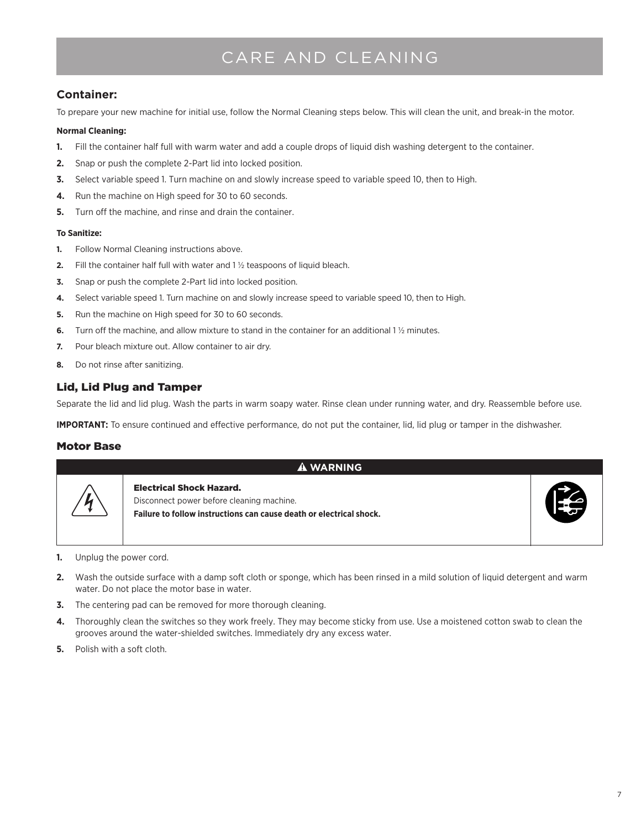## CARE AND CLEANING

### **Container:**

To prepare your new machine for initial use, follow the Normal Cleaning steps below. This will clean the unit, and break-in the motor.

#### **Normal Cleaning:**

- **1.** Fill the container half full with warm water and add a couple drops of liquid dish washing detergent to the container.
- **2.** Snap or push the complete 2-Part lid into locked position.
- **3.** Select variable speed 1. Turn machine on and slowly increase speed to variable speed 10, then to High.
- **4.** Run the machine on High speed for 30 to 60 seconds.
- **5.** Turn off the machine, and rinse and drain the container.

#### **To Sanitize:**

- **1.** Follow Normal Cleaning instructions above.
- **2.** Fill the container half full with water and 1 ½ teaspoons of liquid bleach.
- **3.** Snap or push the complete 2-Part lid into locked position.
- **4.** Select variable speed 1. Turn machine on and slowly increase speed to variable speed 10, then to High.
- **5.** Run the machine on High speed for 30 to 60 seconds.
- **6.** Turn off the machine, and allow mixture to stand in the container for an additional 1 ½ minutes.
- **7.** Pour bleach mixture out. Allow container to air dry.
- **8.** Do not rinse after sanitizing.

### Lid, Lid Plug and Tamper

Separate the lid and lid plug. Wash the parts in warm soapy water. Rinse clean under running water, and dry. Reassemble before use.

**IMPORTANT:** To ensure continued and effective performance, do not put the container, lid, lid plug or tamper in the dishwasher.

#### Motor Base

| <b>A WARNING</b> |                                                                                                                                                     |  |  |  |
|------------------|-----------------------------------------------------------------------------------------------------------------------------------------------------|--|--|--|
| 4                | <b>Electrical Shock Hazard.</b><br>Disconnect power before cleaning machine.<br>Failure to follow instructions can cause death or electrical shock. |  |  |  |

- **1.** Unplug the power cord.
- **2.** Wash the outside surface with a damp soft cloth or sponge, which has been rinsed in a mild solution of liquid detergent and warm water. Do not place the motor base in water.
- **3.** The centering pad can be removed for more thorough cleaning.
- **4.** Thoroughly clean the switches so they work freely. They may become sticky from use. Use a moistened cotton swab to clean the grooves around the water-shielded switches. Immediately dry any excess water.
- **5.** Polish with a soft cloth.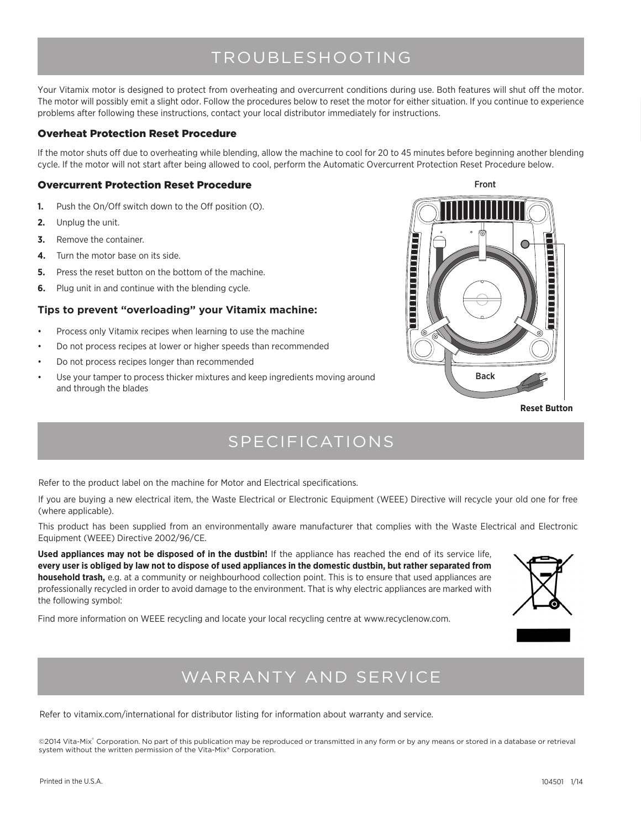### TROUBLESHOOTING

Your Vitamix motor is designed to protect from overheating and overcurrent conditions during use. Both features will shut off the motor. The motor will possibly emit a slight odor. Follow the procedures below to reset the motor for either situation. If you continue to experience problems after following these instructions, contact your local distributor immediately for instructions.

#### Overheat Protection Reset Procedure

If the motor shuts off due to overheating while blending, allow the machine to cool for 20 to 45 minutes before beginning another blending cycle. If the motor will not start after being allowed to cool, perform the Automatic Overcurrent Protection Reset Procedure below.

#### Overcurrent Protection Reset Procedure

- **1.** Push the On/Off switch down to the Off position (O).
- **2.** Unplug the unit.
- **3.** Remove the container.
- **4.** Turn the motor base on its side.
- **5.** Press the reset button on the bottom of the machine.
- **6.** Plug unit in and continue with the blending cycle.

#### **Tips to prevent "overloading" your Vitamix machine:**

- Process only Vitamix recipes when learning to use the machine
- Do not process recipes at lower or higher speeds than recommended
- Do not process recipes longer than recommended
- Use your tamper to process thicker mixtures and keep ingredients moving around and through the blades



**Reset Button**

### SPECIFICATIONS

Refer to the product label on the machine for Motor and Electrical specifications.

If you are buying a new electrical item, the Waste Electrical or Electronic Equipment (WEEE) Directive will recycle your old one for free (where applicable).

This product has been supplied from an environmentally aware manufacturer that complies with the Waste Electrical and Electronic Equipment (WEEE) Directive 2002/96/CE.

**Used appliances may not be disposed of in the dustbin!** If the appliance has reached the end of its service life, **every user is obliged by law not to dispose of used appliances in the domestic dustbin, but rather separated from household trash,** e.g. at a community or neighbourhood collection point. This is to ensure that used appliances are professionally recycled in order to avoid damage to the environment. That is why electric appliances are marked with the following symbol:

Find more information on WEEE recycling and locate your local recycling centre at www.recyclenow.com.



### WARRANTY AND SERVICE

Refer to vitamix.com/international for distributor listing for information about warranty and service.

©2014 Vita-Mix® Corporation. No part of this publication may be reproduced or transmitted in any form or by any means or stored in a database or retrieval system without the written permission of the Vita-Mix® Corporation.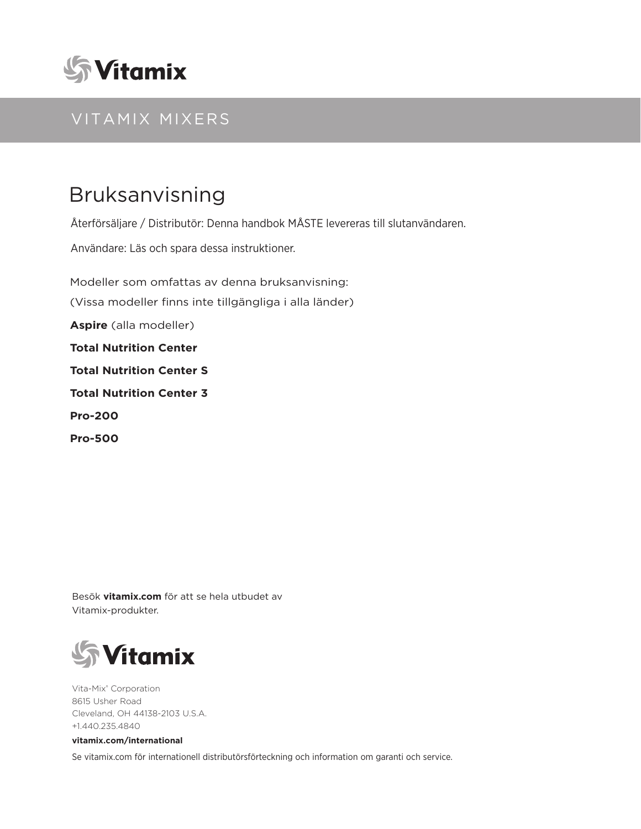

### VITAMIX MIXERS

# Bruksanvisning

Återförsäljare / Distributör: Denna handbok MÅSTE levereras till slutanvändaren.

Användare: Läs och spara dessa instruktioner.

Modeller som omfattas av denna bruksanvisning: (Vissa modeller finns inte tillgängliga i alla länder) **Aspire** (alla modeller) **Total Nutrition Center Total Nutrition Center S Total Nutrition Center 3 Pro-200 Pro-500**

Besök **vitamix.com** för att se hela utbudet av Vitamix-produkter.



Vita-Mix® Corporation 8615 Usher Road Cleveland, OH 44138-2103 U.S.A. +1.440.235.4840

#### **vitamix.com/international**

Se vitamix.com för internationell distributörsförteckning och information om garanti och service.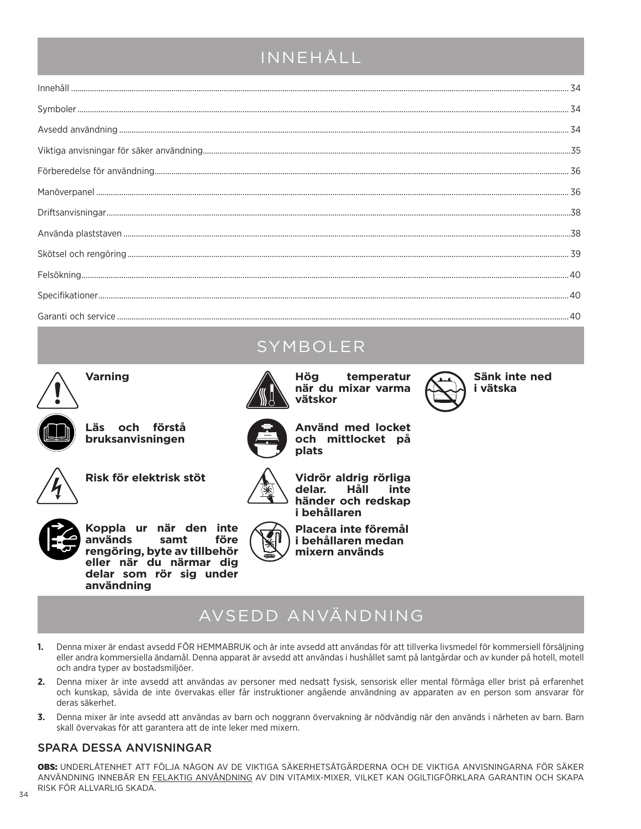### INNEHÅLL

## **SYMBOLER**

**plats**



**Varning**



**Läs och förstå bruksanvisningen**



**Risk för elektrisk stöt**



**Vidrör aldrig rörliga**  delar. **händer och redskap i behållaren**

**Använd med locket och mittlocket på** 



**Koppla ur när den inte används samt före rengöring, byte av tillbehör eller när du närmar dig delar som rör sig under användning**

**Placera inte föremål i behållaren medan mixern används**

# AVSEDD ANVÄNDNING

- **1.** Denna mixer är endast avsedd FÖR HEMMABRUK och är inte avsedd att användas för att tillverka livsmedel för kommersiell försäljning eller andra kommersiella ändamål. Denna apparat är avsedd att användas i hushållet samt på lantgårdar och av kunder på hotell, motell och andra typer av bostadsmiljöer.
- **2.** Denna mixer är inte avsedd att användas av personer med nedsatt fysisk, sensorisk eller mental förmåga eller brist på erfarenhet och kunskap, såvida de inte övervakas eller får instruktioner angående användning av apparaten av en person som ansvarar för deras säkerhet.
- **3.** Denna mixer är inte avsedd att användas av barn och noggrann övervakning är nödvändig när den används i närheten av barn. Barn skall övervakas för att garantera att de inte leker med mixern.

### SPARA DESSA ANVISNINGAR

OBS: UNDERLÅTENHET ATT FÖLJA NÅGON AV DE VIKTIGA SÄKERHETSÅTGÄRDERNA OCH DE VIKTIGA ANVISNINGARNA FÖR SÄKER ANVÄNDNING INNEBÄR EN FELAKTIG ANVÄNDNING AV DIN VITAMIX-MIXER, VILKET KAN OGILTIGFÖRKLARA GARANTIN OCH SKAPA RISK FÖR ALLVARLIG SKADA.



**Hög temperatur när du mixar varma vätskor**



**Sänk inte ned i vätska**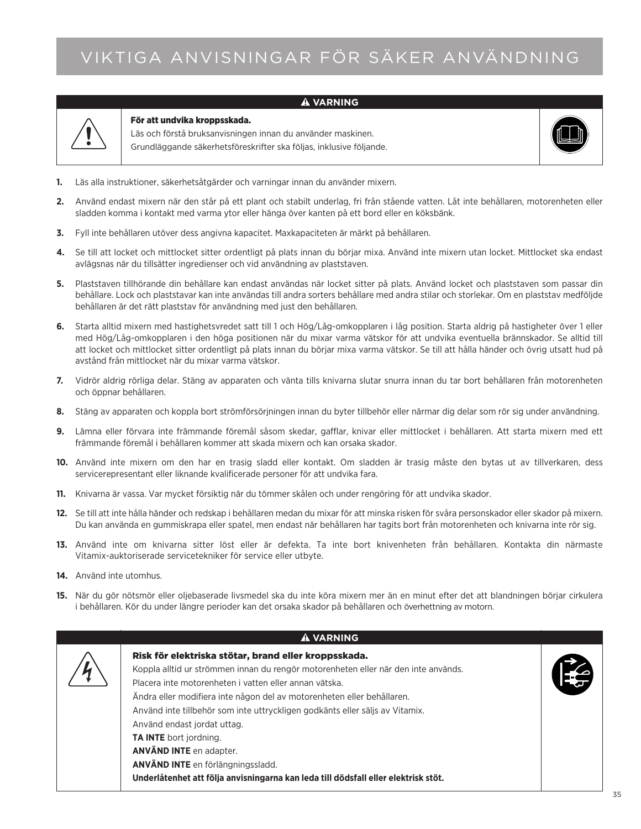# VIKTIGA ANVISNINGAR FÖR SÄKER ANVÄNDNING

#### **VARNING**



#### För att undvika kroppsskada.

Läs och förstå bruksanvisningen innan du använder maskinen. Grundläggande säkerhetsföreskrifter ska följas, inklusive följande.



- **1.** Läs alla instruktioner, säkerhetsåtgärder och varningar innan du använder mixern.
- **2.** Använd endast mixern när den står på ett plant och stabilt underlag, fri från stående vatten. Låt inte behållaren, motorenheten eller sladden komma i kontakt med varma ytor eller hänga över kanten på ett bord eller en köksbänk.
- **3.** Fyll inte behållaren utöver dess angivna kapacitet. Maxkapaciteten är märkt på behållaren.
- **4.** Se till att locket och mittlocket sitter ordentligt på plats innan du börjar mixa. Använd inte mixern utan locket. Mittlocket ska endast avlägsnas när du tillsätter ingredienser och vid användning av plaststaven.
- **5.** Plaststaven tillhörande din behållare kan endast användas när locket sitter på plats. Använd locket och plaststaven som passar din behållare. Lock och plaststavar kan inte användas till andra sorters behållare med andra stilar och storlekar. Om en plaststav medföljde behållaren är det rätt plaststav för användning med just den behållaren.
- **6.** Starta alltid mixern med hastighetsvredet satt till 1 och Hög/Låg-omkopplaren i låg position. Starta aldrig på hastigheter över 1 eller med Hög/Låg-omkopplaren i den höga positionen när du mixar varma vätskor för att undvika eventuella brännskador. Se alltid till att locket och mittlocket sitter ordentligt på plats innan du börjar mixa varma vätskor. Se till att hålla händer och övrig utsatt hud på avstånd från mittlocket när du mixar varma vätskor.
- **7.** Vidrör aldrig rörliga delar. Stäng av apparaten och vänta tills knivarna slutar snurra innan du tar bort behållaren från motorenheten och öppnar behållaren.
- **8.** Stäng av apparaten och koppla bort strömförsörjningen innan du byter tillbehör eller närmar dig delar som rör sig under användning.
- **9.** Lämna eller förvara inte främmande föremål såsom skedar, gafflar, knivar eller mittlocket i behållaren. Att starta mixern med ett främmande föremål i behållaren kommer att skada mixern och kan orsaka skador.
- **10.** Använd inte mixern om den har en trasig sladd eller kontakt. Om sladden är trasig måste den bytas ut av tillverkaren, dess servicerepresentant eller liknande kvalificerade personer för att undvika fara.
- **11.** Knivarna är vassa. Var mycket försiktig när du tömmer skålen och under rengöring för att undvika skador.
- **12.** Se till att inte hålla händer och redskap i behållaren medan du mixar för att minska risken för svåra personskador eller skador på mixern. Du kan använda en gummiskrapa eller spatel, men endast när behållaren har tagits bort från motorenheten och knivarna inte rör sig.
- **13.** Använd inte om knivarna sitter löst eller är defekta. Ta inte bort knivenheten från behållaren. Kontakta din närmaste Vitamix-auktoriserade servicetekniker för service eller utbyte.
- **14.** Använd inte utomhus.
- **15.** När du gör nötsmör eller oljebaserade livsmedel ska du inte köra mixern mer än en minut efter det att blandningen börjar cirkulera i behållaren. Kör du under längre perioder kan det orsaka skador på behållaren och överhettning av motorn.

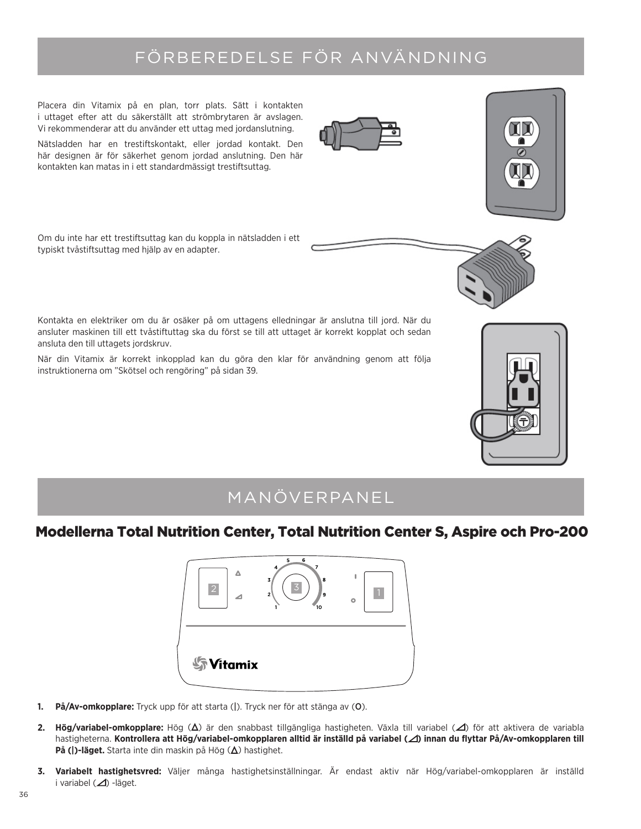# FÖRBEREDELSE FÖR ANVÄNDNING

Placera din Vitamix på en plan, torr plats. Sätt i kontakten i uttaget efter att du säkerställt att strömbrytaren är avslagen. Vi rekommenderar att du använder ett uttag med jordanslutning. Nätsladden har en trestiftskontakt, eller jordad kontakt. Den här designen är för säkerhet genom jordad anslutning. Den här kontakten kan matas in i ett standardmässigt trestiftsuttag.

Om du inte har ett trestiftsuttag kan du koppla in nätsladden i ett typiskt tvåstiftsuttag med hjälp av en adapter.

Kontakta en elektriker om du är osäker på om uttagens elledningar är anslutna till jord. När du ansluter maskinen till ett tvåstiftuttag ska du först se till att uttaget är korrekt kopplat och sedan ansluta den till uttagets jordskruv.

När din Vitamix är korrekt inkopplad kan du göra den klar för användning genom att följa instruktionerna om "Skötsel och rengöring" på sidan 39.

### MANÖVERPANEL

### Modellerna Total Nutrition Center, Total Nutrition Center S, Aspire och Pro-200



- **1. På/Av-omkopplare:** Tryck upp för att starta (|). Tryck ner för att stänga av (O).
- **2. Hög/variabel-omkopplare:** Hög (Δ) är den snabbast tillgängliga hastigheten. Växla till variabel (⊿) för att aktivera de variabla hastigheterna. **Kontrollera att Hög/variabel-omkopplaren alltid är inställd på variabel ( ) innan du flyttar På/Av-omkopplaren till På (|)-läget.** Starta inte din maskin på Hög  $(\Delta)$  hastighet.
- **3. Variabelt hastighetsvred:** Väljer många hastighetsinställningar. Är endast aktiv när Hög/variabel-omkopplaren är inställd i variabel (△) -läget.





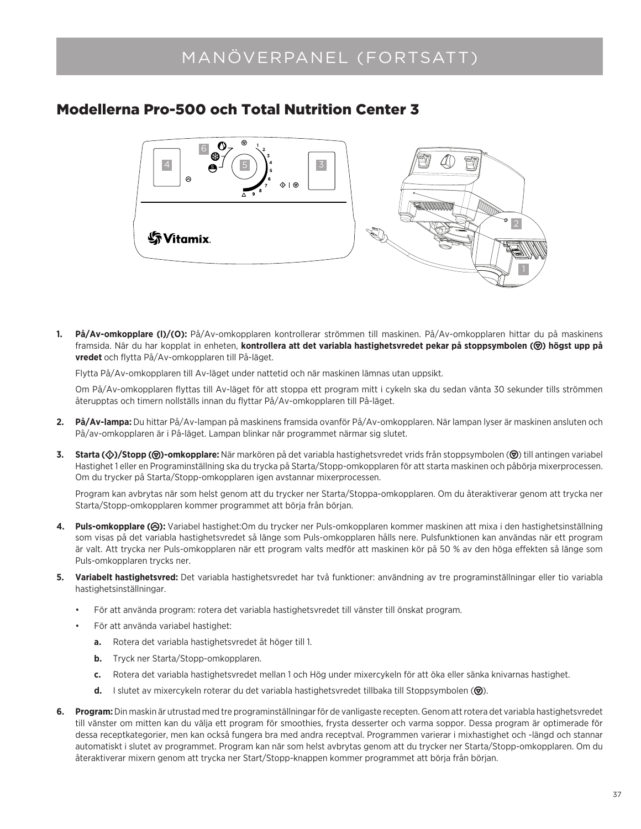### MANÖVERPANEL (FORTSATT)

### Modellerna Pro-500 och Total Nutrition Center 3



**1. På/Av-omkopplare (l)/(O):** På/Av-omkopplaren kontrollerar strömmen till maskinen. På/Av-omkopplaren hittar du på maskinens framsida. När du har kopplat in enheten, **kontrollera att det variabla hastighetsvredet pekar på stoppsymbolen (()) högst upp på vredet** och flytta På/Av-omkopplaren till På-läget.

Flytta På/Av-omkopplaren till Av-läget under nattetid och när maskinen lämnas utan uppsikt.

Om På/Av-omkopplaren flyttas till Av-läget för att stoppa ett program mitt i cykeln ska du sedan vänta 30 sekunder tills strömmen återupptas och timern nollställs innan du flyttar På/Av-omkopplaren till På-läget.

- **2. På/Av-lampa:** Du hittar På/Av-lampan på maskinens framsida ovanför På/Av-omkopplaren. När lampan lyser är maskinen ansluten och På/av-omkopplaren är i På-läget. Lampan blinkar när programmet närmar sig slutet.
- 3. Starta ( $\circ$ )/Stopp ( $\circ$ )-omkopplare: När markören på det variabla hastighetsvredet vrids från stoppsymbolen ( $\circ$ ) till antingen variabel Hastighet 1 eller en Programinställning ska du trycka på Starta/Stopp-omkopplaren för att starta maskinen och påbörja mixerprocessen. Om du trycker på Starta/Stopp-omkopplaren igen avstannar mixerprocessen.

Program kan avbrytas när som helst genom att du trycker ner Starta/Stoppa-omkopplaren. Om du återaktiverar genom att trycka ner Starta/Stopp-omkopplaren kommer programmet att börja från början.

- 4. Puls-omkopplare ( $\circled{P}$ ): Variabel hastighet:Om du trycker ner Puls-omkopplaren kommer maskinen att mixa i den hastighetsinställning som visas på det variabla hastighetsvredet så länge som Puls-omkopplaren hålls nere. Pulsfunktionen kan användas när ett program är valt. Att trycka ner Puls-omkopplaren när ett program valts medför att maskinen kör på 50 % av den höga effekten så länge som Puls-omkopplaren trycks ner.
- **5. Variabelt hastighetsvred:** Det variabla hastighetsvredet har två funktioner: användning av tre programinställningar eller tio variabla hastighetsinställningar.
	- För att använda program: rotera det variabla hastighetsvredet till vänster till önskat program.
	- För att använda variabel hastighet:
		- **a.** Rotera det variabla hastighetsvredet åt höger till 1.
		- **b.** Tryck ner Starta/Stopp-omkopplaren.
		- **c.** Rotera det variabla hastighetsvredet mellan 1 och Hög under mixercykeln för att öka eller sänka knivarnas hastighet.
		- **d.** I slutet av mixercykeln roterar du det variabla hastighetsvredet tillbaka till Stoppsymbolen ( $\circled{v}$ ).
- **6. Program:** Din maskin är utrustad med tre programinställningar för de vanligaste recepten. Genom att rotera det variabla hastighetsvredet till vänster om mitten kan du välja ett program för smoothies, frysta desserter och varma soppor. Dessa program är optimerade för dessa receptkategorier, men kan också fungera bra med andra receptval. Programmen varierar i mixhastighet och -längd och stannar automatiskt i slutet av programmet. Program kan när som helst avbrytas genom att du trycker ner Starta/Stopp-omkopplaren. Om du återaktiverar mixern genom att trycka ner Start/Stopp-knappen kommer programmet att börja från början.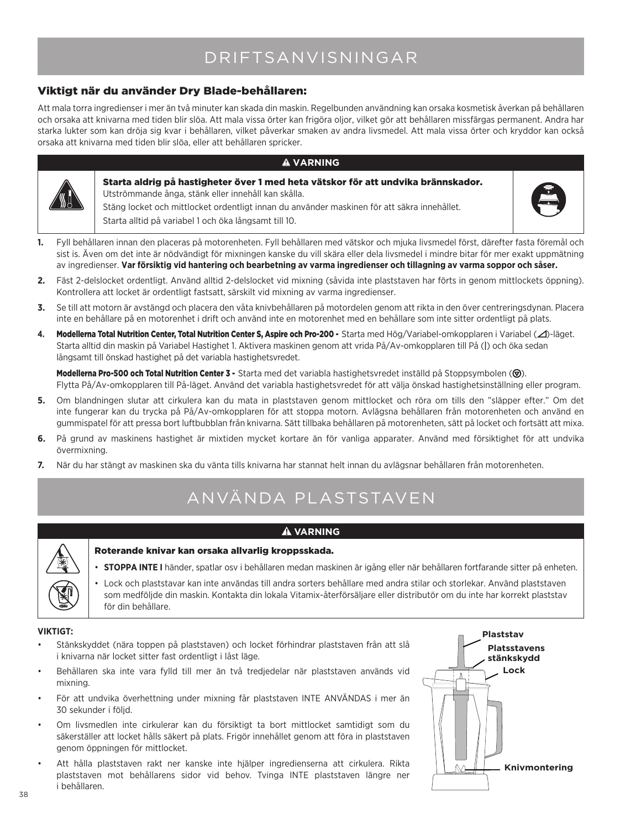## DRIFTSANVISNINGAR

### Viktigt när du använder Dry Blade-behållaren:

Att mala torra ingredienser i mer än två minuter kan skada din maskin. Regelbunden användning kan orsaka kosmetisk åverkan på behållaren och orsaka att knivarna med tiden blir slöa. Att mala vissa örter kan frigöra oljor, vilket gör att behållaren missfärgas permanent. Andra har starka lukter som kan dröja sig kvar i behållaren, vilket påverkar smaken av andra livsmedel. Att mala vissa örter och kryddor kan också orsaka att knivarna med tiden blir slöa, eller att behållaren spricker.

#### **VARNING**



Starta aldrig på hastigheter över 1 med heta vätskor för att undvika brännskador. Utströmmande ånga, stänk eller innehåll kan skålla. Stäng locket och mittlocket ordentligt innan du använder maskinen för att säkra innehållet. Starta alltid på variabel 1 och öka långsamt till 10.



- **1.** Fyll behållaren innan den placeras på motorenheten. Fyll behållaren med vätskor och mjuka livsmedel först, därefter fasta föremål och sist is. Även om det inte är nödvändigt för mixningen kanske du vill skära eller dela livsmedel i mindre bitar för mer exakt uppmätning av ingredienser. **Var försiktig vid hantering och bearbetning av varma ingredienser och tillagning av varma soppor och såser.**
- **2.** Fäst 2-delslocket ordentligt. Använd alltid 2-delslocket vid mixning (såvida inte plaststaven har förts in genom mittlockets öppning). Kontrollera att locket är ordentligt fastsatt, särskilt vid mixning av varma ingredienser.
- **3.** Se till att motorn är avstängd och placera den våta knivbehållaren på motordelen genom att rikta in den över centreringsdynan. Placera inte en behållare på en motorenhet i drift och använd inte en motorenhet med en behållare som inte sitter ordentligt på plats.
- 4. Modellerna Total Nutrition Center, Total Nutrition Center S, Aspire och Pro-200 Starta med Hög/Variabel-omkopplaren i Variabel ( $\triangle$ )-läget. Starta alltid din maskin på Variabel Hastighet 1. Aktivera maskinen genom att vrida På/Av-omkopplaren till På (|) och öka sedan långsamt till önskad hastighet på det variabla hastighetsvredet.

Modellerna Pro-500 och Total Nutrition Center 3 - Starta med det variabla hastighetsvredet inställd på Stoppsymbolen ((). Flytta På/Av-omkopplaren till På-läget. Använd det variabla hastighetsvredet för att välja önskad hastighetsinställning eller program.

- **5.** Om blandningen slutar att cirkulera kan du mata in plaststaven genom mittlocket och röra om tills den "släpper efter." Om det inte fungerar kan du trycka på På/Av-omkopplaren för att stoppa motorn. Avlägsna behållaren från motorenheten och använd en gummispatel för att pressa bort luftbubblan från knivarna. Sätt tillbaka behållaren på motorenheten, sätt på locket och fortsätt att mixa.
- **6.** På grund av maskinens hastighet är mixtiden mycket kortare än för vanliga apparater. Använd med försiktighet för att undvika övermixning.
- **7.** När du har stängt av maskinen ska du vänta tills knivarna har stannat helt innan du avlägsnar behållaren från motorenheten.

# ANVÄNDA PLASTSTAVEN

### **A** VARNING



- Roterande knivar kan orsaka allvarlig kroppsskada.
- • **STOPPA INTE I** händer, spatlar osv i behållaren medan maskinen är igång eller när behållaren fortfarande sitter på enheten.

• Lock och plaststavar kan inte användas till andra sorters behållare med andra stilar och storlekar. Använd plaststaven som medföljde din maskin. Kontakta din lokala Vitamix-återförsäljare eller distributör om du inte har korrekt plaststav för din behållare.

#### **VIKTIGT:**

- Stänkskyddet (nära toppen på plaststaven) och locket förhindrar plaststaven från att slå i knivarna när locket sitter fast ordentligt i låst läge.
- Behållaren ska inte vara fylld till mer än två tredjedelar när plaststaven används vid mixning.
- För att undvika överhettning under mixning får plaststaven INTE ANVÄNDAS i mer än 30 sekunder i följd.
- Om livsmedlen inte cirkulerar kan du försiktigt ta bort mittlocket samtidigt som du säkerställer att locket hålls säkert på plats. Frigör innehållet genom att föra in plaststaven genom öppningen för mittlocket.
- Att hålla plaststaven rakt ner kanske inte hjälper ingredienserna att cirkulera. Rikta plaststaven mot behållarens sidor vid behov. Tvinga INTE plaststaven längre ner i behållaren.

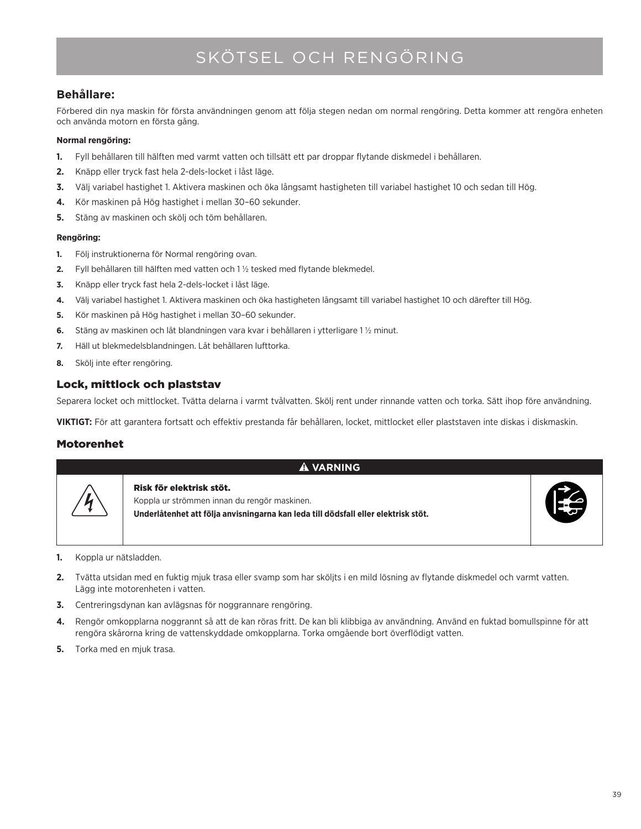# SKÖTSEL OCH RENGÖRING

### **Behållare:**

Förbered din nya maskin för första användningen genom att följa stegen nedan om normal rengöring. Detta kommer att rengöra enheten och använda motorn en första gång.

#### **Normal rengöring:**

- **1.** Fyll behållaren till hälften med varmt vatten och tillsätt ett par droppar flytande diskmedel i behållaren.
- **2.** Knäpp eller tryck fast hela 2-dels-locket i låst läge.
- **3.** Välj variabel hastighet 1. Aktivera maskinen och öka långsamt hastigheten till variabel hastighet 10 och sedan till Hög.
- **4.** Kör maskinen på Hög hastighet i mellan 30–60 sekunder.
- **5.** Stäng av maskinen och skölj och töm behållaren.

#### **Rengöring:**

- **1.** Följ instruktionerna för Normal rengöring ovan.
- **2.** Fyll behållaren till hälften med vatten och 1 ½ tesked med flytande blekmedel.
- **3.** Knäpp eller tryck fast hela 2-dels-locket i låst läge.
- **4.** Välj variabel hastighet 1. Aktivera maskinen och öka hastigheten långsamt till variabel hastighet 10 och därefter till Hög.
- **5.** Kör maskinen på Hög hastighet i mellan 30–60 sekunder.
- **6.** Stäng av maskinen och låt blandningen vara kvar i behållaren i ytterligare 1 ½ minut.
- **7.** Häll ut blekmedelsblandningen. Låt behållaren lufttorka.
- **8.** Skölj inte efter rengöring.

### Lock, mittlock och plaststav

Separera locket och mittlocket. Tvätta delarna i varmt tvålvatten. Skölj rent under rinnande vatten och torka. Sätt ihop före användning.

**VIKTIGT:** För att garantera fortsatt och effektiv prestanda får behållaren, locket, mittlocket eller plaststaven inte diskas i diskmaskin.

### Motorenhet

#### **VARNING**



Koppla ur strömmen innan du rengör maskinen. **Underlåtenhet att följa anvisningarna kan leda till dödsfall eller elektrisk stöt.**



- **1.** Koppla ur nätsladden.
- **2.** Tvätta utsidan med en fuktig mjuk trasa eller svamp som har sköljts i en mild lösning av flytande diskmedel och varmt vatten. Lägg inte motorenheten i vatten.
- **3.** Centreringsdynan kan avlägsnas för noggrannare rengöring.

Risk för elektrisk stöt.

- **4.** Rengör omkopplarna noggrannt så att de kan röras fritt. De kan bli klibbiga av användning. Använd en fuktad bomullspinne för att rengöra skårorna kring de vattenskyddade omkopplarna. Torka omgående bort överflödigt vatten.
- **5.** Torka med en mjuk trasa.